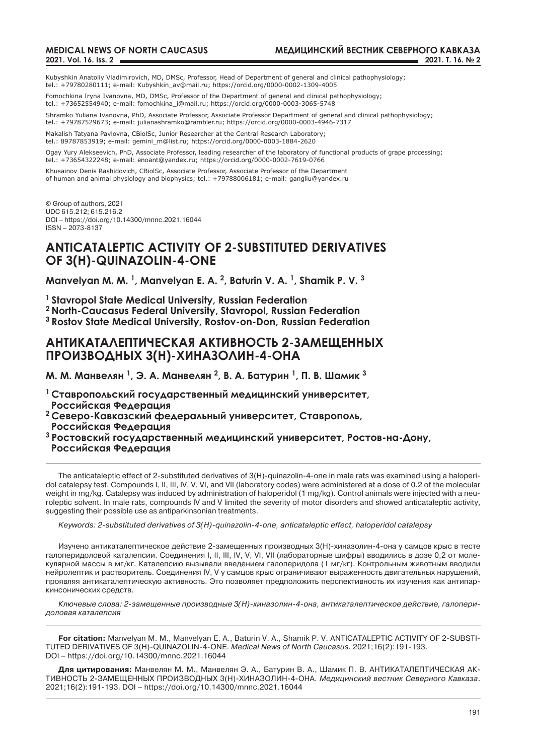Kubyshkin Anatoliy Vladimirovich, MD, DMSc, Professor, Head of Department of general and clinical pathophysiology; tel.: +79780280111; e-mail: Kubyshkin\_av@mail.ru; https://orcid.org/0000-0002-1309-4005

Fomochkina Iryna Ivanovna, MD, DMSc, Professor of the Department of general and clinical pathophysiology; tel.: +73652554940; e-mail: fomochkina\_i@mail.ru; https://orcid.org/0000-0003-3065-5748

Shramko Yuliana Ivanovna, PhD, Associate Professor, Associate Professor Department of general and clinical pathophysiology; tel.: +79787529673; e-mail: julianashramko@rambler.ru; https://orcid.org/0000-0003-4946-7317

Makalish Tatyana Pavlovna, CBiolSc, Junior Researcher at the Central Research Laboratory; tel.: 89787853919; e-mail: gemini\_m@list.ru; https://orcid.org/0000-0003-1884-2620

Ogay Yury Alekseevich, PhD, Associate Professor, leading researcher of the laboratory of functional products of grape processing; tel.: +73654322248; e-mail: enoant@yandex.ru; https://orcid.org/0000-0002-7619-0766

Khusainov Denis Rashidovich, CBiolSc, Associate professor, Associate Professor of the Department of human and animal physiology and biophysics; tel.: +79788006181; e-mail: gangliu@yandex.ru

© Group of authors, 2021 UDC 615.212; 615.216.2 DOI – https://doi.org/10.14300/mnnc.2021.16044 ISSN – 2073-8137

# **ANTICATALEPTIC ACTIVITY OF 2-SUBSTITUTED DERIVATIVES OF 3(H)-QUINAZOLIN-4-ONE**

**Manvelyan M. M. 1, Manvelyan E. A. 2, Baturin V. A. 1, Shamik P. V. 3**

**1 Stavropol State Medical University, Russian Federation**

**2 North-Caucasus Federal University, Stavropol, Russian Federation** 

**3 Rostov State Medical University, Rostov-on-Don, Russian Federation**

## **АНТИКАТАЛЕПТИЧЕСКАЯ АКТИВНОСТЬ 2-ЗАМЕЩЕННЫХ ПРОИЗВОДНЫХ 3(Н)-ХИНАЗОЛИН-4-ОНА**

**М. М. Манвелян <sup>1</sup>, Э. А. Манвелян <sup>2</sup>, В. А. Батурин <sup>1</sup>, П. В. Шамик <sup>3</sup>**

- **<sup>1</sup>Ставропольский государственный медицинский университет, Российская Федерация**
- **<sup>2</sup>Северо-Кавказский федеральный университет, Ставрополь, Российская Федерация**
- **<sup>3</sup>Ростовский государственный медицинский университет, Ростов-на-Дону, Российская Федерация**

The anticataleptic effect of 2-substituted derivatives of 3(H)-quinazolin-4-one in male rats was examined using a haloperidol catalepsy test. Compounds I, II, III, IV, V, VI, and VII (laboratory codes) were administered at a dose of 0.2 of the molecular weight in mg/kg. Catalepsy was induced by administration of haloperidol (1 mg/kg). Control animals were injected with a neuroleptic solvent. In male rats, compounds IV and V limited the severity of motor disorders and showed anticataleptic activity, suggesting their possible use as antiparkinsonian treatments.

*Keywords: 2-substituted derivatives of 3(H)-quinazolin-4-one, anticataleptic effect, haloperidol catalepsy*

Изучено антикаталептическое действие 2-замещенных производных 3(Н)-хиназолин-4-она у самцов крыс в тесте галоперидоловой каталепсии. Соединения I, II, III, IV, V, VI, VII (лабораторные шифры) вводились в дозе 0,2 от молекулярной массы в мг/кг. Каталепсию вызывали введением галоперидола (1 мг/кг). Контрольным животным вводили нейролептик и растворитель. Соединения IV, V у самцов крыс ограничивают выраженность двигательных нарушений, проявляя антикаталептическую активность. Это позволяет предположить перспективность их изучения как антипаркинсонических средств.

*Ключевые слова: 2-замещенные производные 3(Н)-хиназолин-4-она, антикаталептическое действие, галоперидоловая каталепсия*

**For citation:** Manvelyan M. M., Manvelyan E. A., Baturin V. A., Shamik P. V. ANTICATALEPTIC ACTIVITY OF 2-SUBSTI-TUTED DERIVATIVES OF 3(H)-QUINAZOLIN-4-ONE. *Medical News of North Caucasus.* 2021;16(2):191-193. DOI – https://doi.org/10.14300/mnnc.2021.16044

**Для цитирования:** Манвелян М. М., Манвелян Э. А., Батурин В. А., Шамик П. В. АНТИКАТАЛЕПТИЧЕСКАЯ АК-ТИВНОСТЬ 2-ЗАМЕЩЕННЫХ ПРОИЗВОДНЫХ 3(Н)-ХИНАЗОЛИН-4-ОНА. *Медицинский вестник Северного Кавказа*. 2021;16(2):191-193. DOI – https://doi.org/10.14300/mnnc.2021.16044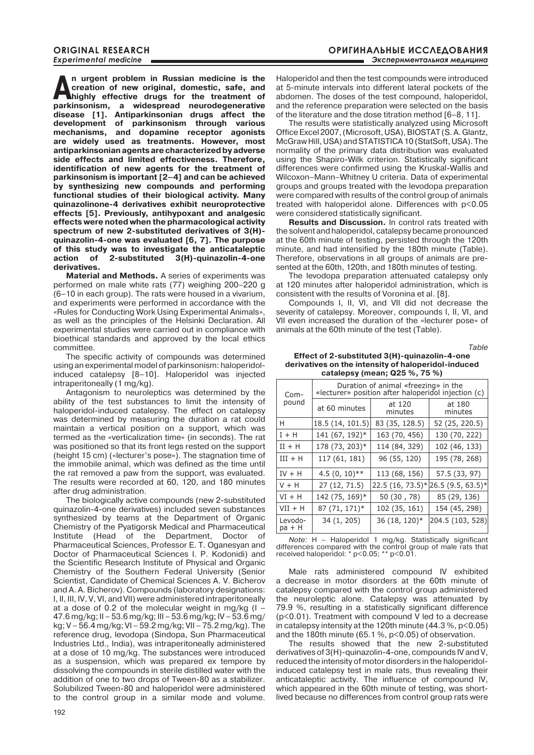**An urgent problem in Russian medicine is the creation of new original, domestic, safe, and highly effective drugs for the treatment of previousness in a subsequent of**  $\frac{1}{2}$ **creation of new original, domestic, safe, and parkinsonism, a widespread neurodegenerative disease [1]. Antiparkinsonian drugs affect the development of parkinsonism through various mechanisms, and dopamine receptor agonists are widely used as treatments. However, most antiparkinsonian agents are characterized by adverse side effects and limited effectiveness. Therefore, identification of new agents for the treatment of parkinsonism is important [2–4] and can be achieved by synthesizing new compounds and performing functional studies of their biological activity. Many quinazolinone-4 derivatives exhibit neuroprotective effects [5]. Previously, antihypoxant and analgesic effects were noted when the pharmacological activity spectrum of new 2-substituted derivatives of 3(H) quinazolin-4-one was evaluated [6, 7]. The purpose of this study was to investigate the anticataleptic action of 2-substituted 3(H)-quinazolin-4-one derivatives.**

**Material and methods.** A series of experiments was performed on male white rats (77) weighing 200–220 g (6–10 in each group). The rats were housed in a vivarium, and experiments were performed in accordance with the «Rules for Conducting Work Using Experimental Animals», as well as the principles of the Helsinki Declaration. All experimental studies were carried out in compliance with bioethical standards and approved by the local ethics committee.

The specific activity of compounds was determined using an experimental model of parkinsonism: haloperidolinduced catalepsy [8–10]. Haloperidol was injected intraperitoneally (1 mg/kg).

Antagonism to neuroleptics was determined by the ability of the test substances to limit the intensity of haloperidol-induced catalepsy. The effect on catalepsy was determined by measuring the duration a rat could maintain a vertical position on a support, which was termed as the «verticalization time» (in seconds). The rat was positioned so that its front legs rested on the support (height 15 cm) («lecturer's pose»). The stagnation time of the immobile animal, which was defined as the time until the rat removed a paw from the support, was evaluated. The results were recorded at 60, 120, and 180 minutes after drug administration.

The biologically active compounds (new 2-substituted quinazolin-4-one derivatives) included seven substances synthesized by teams at the Department of Organic Chemistry of the Pyatigorsk Medical and Pharmaceutical Institute (Head of the Department, Doctor of Pharmaceutical Sciences, Professor E. T. Oganesyan and Doctor of Pharmaceutical Sciences I. P. Kodonidi) and the Scientific Research Institute of Physical and Organic Chemistry of the Southern Federal University (Senior Scientist, Candidate of Chemical Sciences A. V. Bicherov and A. A. Bicherov). Compounds (laboratory designations: I, II, III, IV, V, VI, and VII) were administered intraperitoneally at a dose of 0.2 of the molecular weight in mg/kg  $(I -$ 47.6 mg/kg; II – 53.6 mg/kg; III – 53.6 mg/kg; IV – 53.6 mg/ kg; V – 56.4 mg/kg; VI – 59.2 mg/kg; VII – 75.2 mg/kg). The reference drug, levodopa (Sindopa, Sun Pharmaceutical Industries Ltd., India), was intraperitoneally administered at a dose of 10 mg/kg. The substances were introduced as a suspension, which was prepared ex tempore by dissolving the compounds in sterile distilled water with the addition of one to two drops of Tween-80 as a stabilizer. Solubilized Tween-80 and haloperidol were administered to the control group in a similar mode and volume. Haloperidol and then the test compounds were introduced at 5-minute intervals into different lateral pockets of the abdomen. The doses of the test compound, haloperidol, and the reference preparation were selected on the basis of the literature and the dose titration method [6–8, 11].

The results were statistically analyzed using Microsoft Office Excel 2007, (Microsoft, USA), BIOSTAT (S. A. Glantz, McGraw Hill, USA) and STATISTICA 10 (StatSoft, USA). The normality of the primary data distribution was evaluated using the Shapiro-Wilk criterion. Statistically significant differences were confirmed using the Kruskal-Wallis and Wilcoxon–Mann–Whitney U criteria. Data of experimental groups and groups treated with the levodopa preparation were compared with results of the control group of animals treated with haloperidol alone. Differences with p<0.05 were considered statistically significant.

**Results and Discussion.** In control rats treated with the solvent and haloperidol, catalepsy became pronounced at the 60th minute of testing, persisted through the 120th minute, and had intensified by the 180th minute (Table). Therefore, observations in all groups of animals are presented at the 60th, 120th, and 180th minutes of testing.

The levodopa preparation attenuated catalepsy only at 120 minutes after haloperidol administration, which is consistent with the results of Voronina et al. [8].

Compounds I, II, VI, and VII did not decrease the severity of catalepsy. Moreover, compounds I, II, VI, and VII even increased the duration of the «lecturer pose» of animals at the 60th minute of the test (Table).

*Table* 

### **Effect of 2-substituted 3(H)-quinazolin-4-one derivatives on the intensity of haloperidol-induced catalepsy (mean; Q25 %, 75 %)**

| Com-<br>pound     | Duration of animal «freezing» in the<br>«lecturer» position after haloperidol injection (c) |                   |                       |
|-------------------|---------------------------------------------------------------------------------------------|-------------------|-----------------------|
|                   | at 60 minutes                                                                               | at 120<br>minutes | at 180<br>minutes     |
| H                 | 18.5 (14, 101.5)                                                                            | 83 (35, 128.5)    | 52 (25, 220.5)        |
| $I + H$           | 141 (67, 192)*                                                                              | 163 (70, 456)     | 130 (70, 222)         |
| $II + H$          | 178 (73, 203)*                                                                              | 114 (84, 329)     | 102 (46, 133)         |
| $III + H$         | 117 (61, 181)                                                                               | 96 (55, 120)      | 195 (78, 268)         |
| $IV + H$          | $4.5(0, 10)$ **                                                                             | 113 (68, 156)     | 57.5 (33, 97)         |
| $V + H$           | 27 (12, 71.5)                                                                               | 22.5 (16, 73.5)*  | $[26.5 (9.5, 63.5)$ * |
| $VI + H$          | 142 (75, 169)*                                                                              | 50(30, 78)        | 85 (29, 136)          |
| $VII + H$         | 87 (71, 171)*                                                                               | 102 (35, 161)     | 154 (45, 298)         |
| Levodo-<br>pa + H | 34 (1, 205)                                                                                 | 36 (18, 120)*     | 204.5 (103, 528)      |

*Note:* H – Haloperidol 1 mg/kg. Statistically significant differences compared with the control group of male rats that received haloperidol: \* p<0.05; \*\* р<0.01.

Male rats administered compound IV exhibited a decrease in motor disorders at the 60th minute of catalepsy compared with the control group administered the neuroleptic alone. Catalepsy was attenuated by 79.9 %, resulting in a statistically significant difference (p<0.01). Treatment with compound V led to a decrease in catalepsy intensity at the 120th minute  $(44.3\%, p<0.05)$ and the 180th minute (65.1 %, p<0.05) of observation.

The results showed that the new 2-substituted derivatives of 3(H)-quinazolin-4-one, compounds IV and V, reduced the intensity of motor disorders in the haloperidolinduced catalepsy test in male rats, thus revealing their anticataleptic activity. The influence of compound IV, which appeared in the 60th minute of testing, was shortlived because no differences from control group rats were